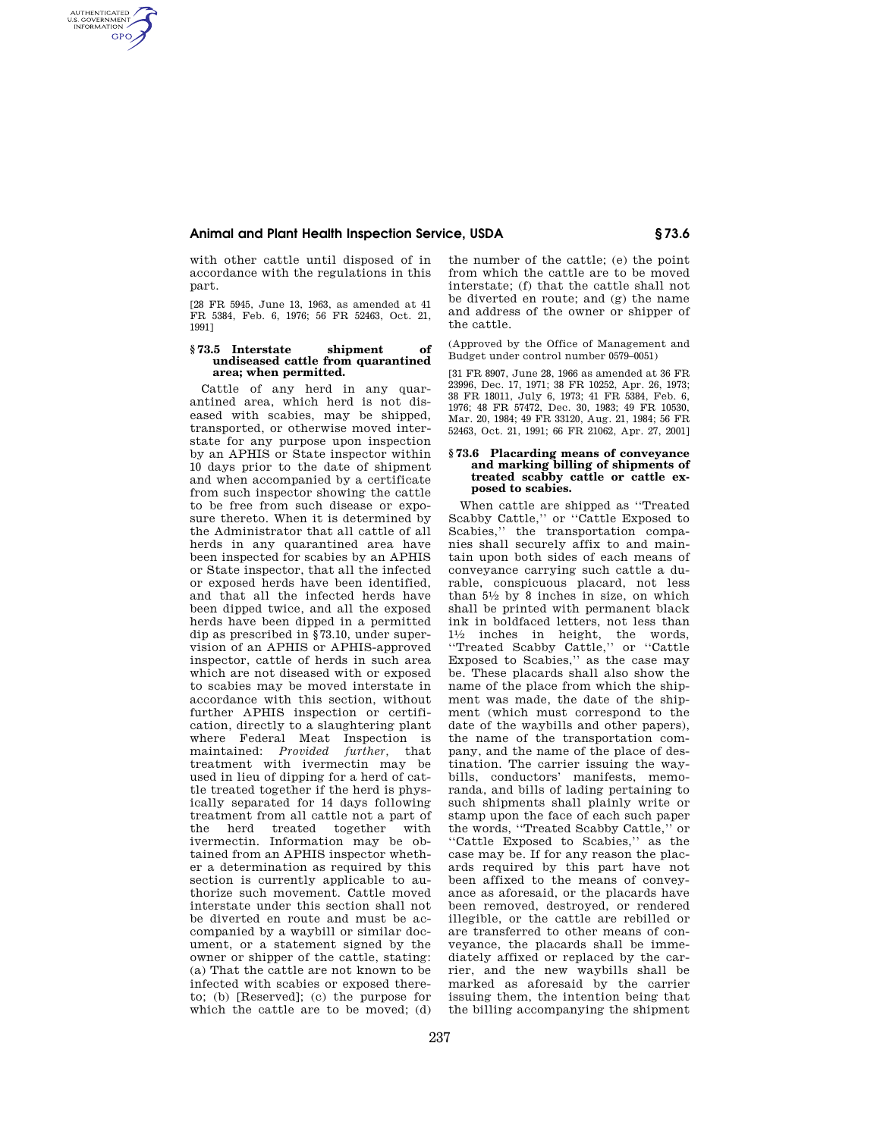# **Animal and Plant Health Inspection Service, USDA § 73.6**

with other cattle until disposed of in accordance with the regulations in this part.

AUTHENTICATED<br>U.S. GOVERNMENT<br>INFORMATION **GPO** 

> [28 FR 5945, June 13, 1963, as amended at 41 FR 5384, Feb. 6, 1976; 56 FR 52463, Oct. 21, 1991]

### **§ 73.5 Interstate shipment of undiseased cattle from quarantined area; when permitted.**

Cattle of any herd in any quarantined area, which herd is not diseased with scabies, may be shipped, transported, or otherwise moved interstate for any purpose upon inspection by an APHIS or State inspector within 10 days prior to the date of shipment and when accompanied by a certificate from such inspector showing the cattle to be free from such disease or exposure thereto. When it is determined by the Administrator that all cattle of all herds in any quarantined area have been inspected for scabies by an APHIS or State inspector, that all the infected or exposed herds have been identified, and that all the infected herds have been dipped twice, and all the exposed herds have been dipped in a permitted dip as prescribed in §73.10, under supervision of an APHIS or APHIS-approved inspector, cattle of herds in such area which are not diseased with or exposed to scabies may be moved interstate in accordance with this section, without further APHIS inspection or certification, directly to a slaughtering plant where Federal Meat Inspection is maintained: *Provided further,* that treatment with ivermectin may be used in lieu of dipping for a herd of cattle treated together if the herd is physically separated for 14 days following treatment from all cattle not a part of<br>the herd treated together with the herd treated together ivermectin. Information may be obtained from an APHIS inspector whether a determination as required by this section is currently applicable to authorize such movement. Cattle moved interstate under this section shall not be diverted en route and must be accompanied by a waybill or similar document, or a statement signed by the owner or shipper of the cattle, stating: (a) That the cattle are not known to be infected with scabies or exposed thereto; (b) [Reserved]; (c) the purpose for which the cattle are to be moved; (d)

the number of the cattle; (e) the point from which the cattle are to be moved interstate; (f) that the cattle shall not be diverted en route; and (g) the name and address of the owner or shipper of the cattle.

(Approved by the Office of Management and Budget under control number 0579–0051)

[31 FR 8907, June 28, 1966 as amended at 36 FR 23996, Dec. 17, 1971; 38 FR 10252, Apr. 26, 1973; 38 FR 18011, July 6, 1973; 41 FR 5384, Feb. 6, 1976; 48 FR 57472, Dec. 30, 1983; 49 FR 10530, Mar. 20, 1984; 49 FR 33120, Aug. 21, 1984; 56 FR 52463, Oct. 21, 1991; 66 FR 21062, Apr. 27, 2001]

#### **§ 73.6 Placarding means of conveyance and marking billing of shipments of treated scabby cattle or cattle exposed to scabies.**

When cattle are shipped as ''Treated Scabby Cattle,'' or ''Cattle Exposed to Scabies,'' the transportation companies shall securely affix to and maintain upon both sides of each means of conveyance carrying such cattle a durable, conspicuous placard, not less than  $5\frac{1}{2}$  by 8 inches in size, on which shall be printed with permanent black ink in boldfaced letters, not less than  $1\frac{1}{2}$  inches in height, the words, ''Treated Scabby Cattle,'' or ''Cattle Exposed to Scabies,'' as the case may be. These placards shall also show the name of the place from which the shipment was made, the date of the shipment (which must correspond to the date of the waybills and other papers), the name of the transportation company, and the name of the place of destination. The carrier issuing the waybills, conductors' manifests, memoranda, and bills of lading pertaining to such shipments shall plainly write or stamp upon the face of each such paper the words, ''Treated Scabby Cattle,'' or ''Cattle Exposed to Scabies,'' as the case may be. If for any reason the placards required by this part have not been affixed to the means of conveyance as aforesaid, or the placards have been removed, destroyed, or rendered illegible, or the cattle are rebilled or are transferred to other means of conveyance, the placards shall be immediately affixed or replaced by the carrier, and the new waybills shall be marked as aforesaid by the carrier issuing them, the intention being that the billing accompanying the shipment